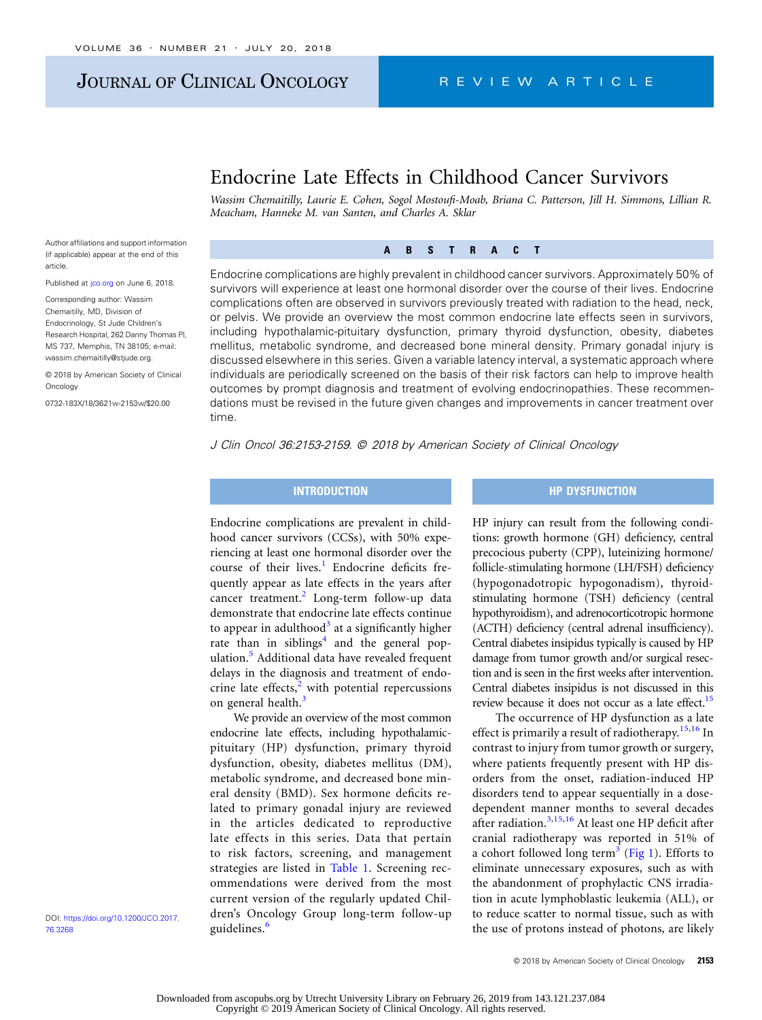### JOURNAL OF CLINICAL ONCOLOGY REVIEW ARTICLE

### Endocrine Late Effects in Childhood Cancer Survivors

Wassim Chemaitilly, Laurie E. Cohen, Sogol Mostoufi-Moab, Briana C. Patterson, Jill H. Simmons, Lillian R. Meacham, Hanneke M. van Santen, and Charles A. Sklar

Author affiliations and support information (if applicable) appear at the end of this article.

Published at [jco.org](http://jco.org) on June 6, 2018.

Corresponding author: Wassim Chemaitilly, MD, Division of Endocrinology, St Jude Children's Research Hospital, 262 Danny Thomas Pl, MS 737, Memphis, TN 38105; e-mail: [wassim.chemaitilly@stjude.org.](mailto:wassim.chemaitilly@stjude.org)

© 2018 by American Society of Clinical Oncology

0732-183X/18/3621w-2153w/\$20.00

#### $\overline{A}$  $\mathbf{B}$  $S$  T  $R$  $\mathbf{A}$ ABSTRACT AND A REPORT OF THE CONTRACT OF THE CONTRACT OF THE CONTRACT OF THE CONTRACT OF THE CONTRACT OF THE CONTRACT OF THE CONTRACT OF THE CONTRACT OF THE CONTRACT OF THE CONTRACT OF THE CONTRACT OF THE CONTRACT OF THE C

Endocrine complications are highly prevalent in childhood cancer survivors. Approximately 50% of survivors will experience at least one hormonal disorder over the course of their lives. Endocrine complications often are observed in survivors previously treated with radiation to the head, neck, or pelvis. We provide an overview the most common endocrine late effects seen in survivors, including hypothalamic-pituitary dysfunction, primary thyroid dysfunction, obesity, diabetes mellitus, metabolic syndrome, and decreased bone mineral density. Primary gonadal injury is discussed elsewhere in this series. Given a variable latency interval, a systematic approach where individuals are periodically screened on the basis of their risk factors can help to improve health outcomes by prompt diagnosis and treatment of evolving endocrinopathies. These recommendations must be revised in the future given changes and improvements in cancer treatment over time.

J Clin Oncol 36:2153-2159. © 2018 by American Society of Clinical Oncology

## INTRODUCTION

### Endocrine complications are prevalent in childhood cancer survivors (CCSs), with 50% experiencing at least one hormonal disorder over the course of their lives. $\frac{1}{1}$  $\frac{1}{1}$  $\frac{1}{1}$  Endocrine deficits frequently appear as late effects in the years after cancer treatment.<sup>[2](#page-5-0)</sup> Long-term follow-up data demonstrate that endocrine late effects continue to appear in adulthood<sup>[3](#page-5-0)</sup> at a significantly higher rate than in siblings<sup>[4](#page-5-0)</sup> and the general pop-ulation.<sup>[5](#page-5-0)</sup> Additional data have revealed frequent delays in the diagnosis and treatment of endocrine late effects, $2$  with potential repercussions on general health.<sup>[3](#page-5-0)</sup>

We provide an overview of the most common endocrine late effects, including hypothalamicpituitary (HP) dysfunction, primary thyroid dysfunction, obesity, diabetes mellitus (DM), metabolic syndrome, and decreased bone mineral density (BMD). Sex hormone deficits related to primary gonadal injury are reviewed in the articles dedicated to reproductive late effects in this series. Data that pertain to risk factors, screening, and management strategies are listed in [Table 1](#page-1-0). Screening recommendations were derived from the most current version of the regularly updated Children's Oncology Group long-term follow-up guidelines.<sup>[6](#page-5-0)</sup>

# HP DYSFUNCTION

HP injury can result from the following conditions: growth hormone (GH) deficiency, central precocious puberty (CPP), luteinizing hormone/ follicle-stimulating hormone (LH/FSH) deficiency (hypogonadotropic hypogonadism), thyroidstimulating hormone (TSH) deficiency (central hypothyroidism), and adrenocorticotropic hormone (ACTH) deficiency (central adrenal insufficiency). Central diabetes insipidus typically is caused by HP damage from tumor growth and/or surgical resection and is seen in the first weeks after intervention. Central diabetes insipidus is not discussed in this review because it does not occur as a late effect.<sup>15</sup>

The occurrence of HP dysfunction as a late effect is primarily a result of radiotherapy.<sup>[15,16](#page-5-0)</sup> In contrast to injury from tumor growth or surgery, where patients frequently present with HP disorders from the onset, radiation-induced HP disorders tend to appear sequentially in a dosedependent manner months to several decades after radiation.[3,15](#page-5-0),[16](#page-5-0) At least one HP deficit after cranial radiotherapy was reported in 51% of a cohort followed long term<sup>[3](#page-5-0)</sup> ([Fig 1](#page-2-0)). Efforts to eliminate unnecessary exposures, such as with the abandonment of prophylactic CNS irradiation in acute lymphoblastic leukemia (ALL), or to reduce scatter to normal tissue, such as with the use of protons instead of photons, are likely

DOI: [https://doi.org/10.1200/JCO.2017.](http://ascopubs.org/doi/full/10.1200/JCO.2017.76.3268) [76.3268](http://ascopubs.org/doi/full/10.1200/JCO.2017.76.3268)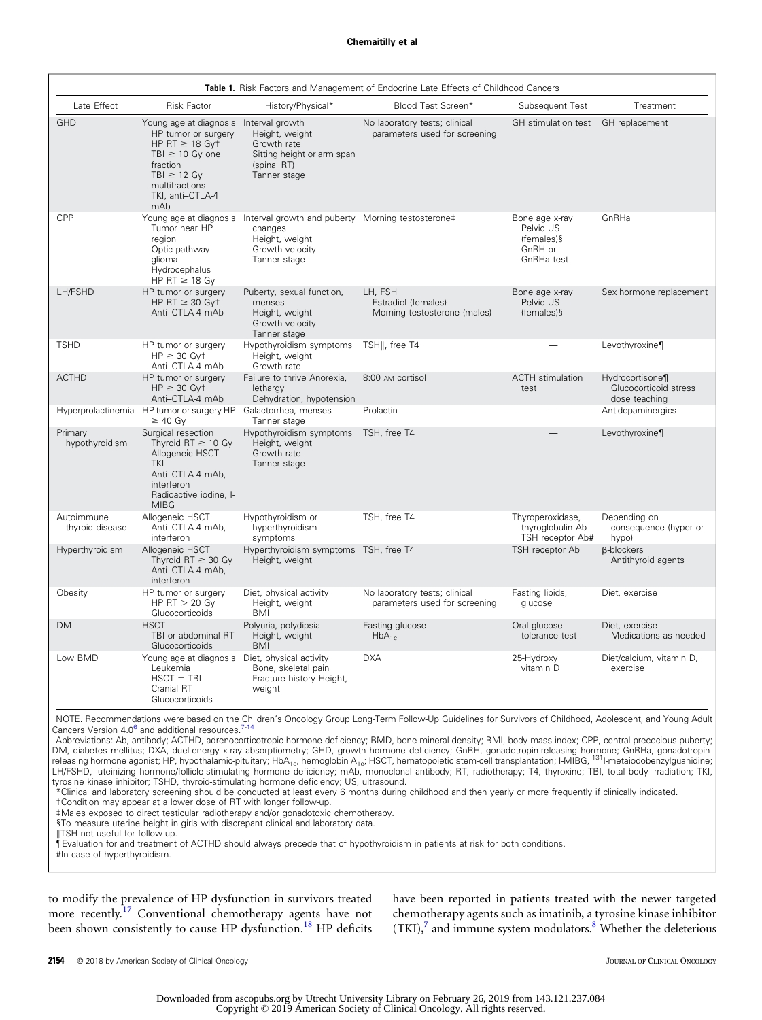<span id="page-1-0"></span>

| Table 1. Risk Factors and Management of Endocrine Late Effects of Childhood Cancers |                                                                                                                                                                           |                                                                                                                   |                                                                |                                                                       |                                                           |
|-------------------------------------------------------------------------------------|---------------------------------------------------------------------------------------------------------------------------------------------------------------------------|-------------------------------------------------------------------------------------------------------------------|----------------------------------------------------------------|-----------------------------------------------------------------------|-----------------------------------------------------------|
| Late Effect                                                                         | <b>Risk Factor</b>                                                                                                                                                        | History/Physical*                                                                                                 | Blood Test Screen*                                             | Subsequent Test                                                       | Treatment                                                 |
| <b>GHD</b>                                                                          | Young age at diagnosis<br>HP tumor or surgery<br>HP RT $\geq$ 18 Gyt<br>TBI $\geq$ 10 Gy one<br>fraction<br>$TBI \geq 12$ Gy<br>multifractions<br>TKI, anti-CTLA-4<br>mAb | Interval growth<br>Height, weight<br>Growth rate<br>Sitting height or arm span<br>(spinal RT)<br>Tanner stage     | No laboratory tests; clinical<br>parameters used for screening | GH stimulation test                                                   | GH replacement                                            |
| CPP                                                                                 | Young age at diagnosis<br>Tumor near HP<br>region<br>Optic pathway<br>glioma<br>Hydrocephalus<br>HP RT $\geq$ 18 Gy                                                       | Interval growth and puberty Morning testosterone‡<br>changes<br>Height, weight<br>Growth velocity<br>Tanner stage |                                                                | Bone age x-ray<br>Pelvic US<br>$(females)$ §<br>GnRH or<br>GnRHa test | GnRHa                                                     |
| LH/FSHD                                                                             | HP tumor or surgery<br>HP RT $\geq$ 30 Gyt<br>Anti-CTLA-4 mAb                                                                                                             | Puberty, sexual function,<br>menses<br>Height, weight<br>Growth velocity<br>Tanner stage                          | LH, FSH<br>Estradiol (females)<br>Morning testosterone (males) | Bone age x-ray<br>Pelvic US<br>$(females)$ §                          | Sex hormone replacement                                   |
| <b>TSHD</b>                                                                         | HP tumor or surgery<br>$HP \geq 30$ Gvt<br>Anti-CTLA-4 mAb                                                                                                                | Hypothyroidism symptoms<br>Height, weight<br>Growth rate                                                          | TSH  , free T4                                                 |                                                                       | Levothyroxine¶                                            |
| <b>ACTHD</b>                                                                        | HP tumor or surgery<br>$HP \geq 30$ Gyt<br>Anti-CTLA-4 mAb                                                                                                                | Failure to thrive Anorexia,<br>lethargy<br>Dehydration, hypotension                                               | 8:00 AM cortisol                                               | <b>ACTH</b> stimulation<br>test                                       | Hydrocortisone¶<br>Glucocorticoid stress<br>dose teaching |
|                                                                                     | Hyperprolactinemia HP tumor or surgery HP<br>$\geq$ 40 Gy                                                                                                                 | Galactorrhea, menses<br>Tanner stage                                                                              | Prolactin                                                      |                                                                       | Antidopaminergics                                         |
| Primary<br>hypothyroidism                                                           | Surgical resection<br>Thyroid $RT \geq 10$ Gy<br>Allogeneic HSCT<br><b>TKI</b><br>Anti-CTLA-4 mAb,<br>interferon<br>Radioactive iodine, I-<br><b>MIBG</b>                 | Hypothyroidism symptoms<br>Height, weight<br>Growth rate<br>Tanner stage                                          | TSH, free T4                                                   |                                                                       | Levothyroxine¶                                            |
| Autoimmune<br>thyroid disease                                                       | Allogeneic HSCT<br>Anti-CTLA-4 mAb,<br>interferon                                                                                                                         | Hypothyroidism or<br>hyperthyroidism<br>symptoms                                                                  | TSH, free T4                                                   | Thyroperoxidase,<br>thyroglobulin Ab<br>TSH receptor Ab#              | Depending on<br>consequence (hyper or<br>hypo)            |
| Hyperthyroidism                                                                     | Allogeneic HSCT<br>Thyroid $RT \geq 30$ Gy<br>Anti-CTLA-4 mAb,<br>interferon                                                                                              | Hyperthyroidism symptoms TSH, free T4<br>Height, weight                                                           |                                                                | TSH receptor Ab                                                       | <b>B-blockers</b><br>Antithyroid agents                   |
| Obesity                                                                             | HP tumor or surgery<br>HP $RT > 20$ Gy<br>Glucocorticoids                                                                                                                 | Diet, physical activity<br>Height, weight<br><b>BMI</b>                                                           | No laboratory tests; clinical<br>parameters used for screening | Fasting lipids,<br>glucose                                            | Diet, exercise                                            |
| <b>DM</b>                                                                           | <b>HSCT</b><br>TBI or abdominal RT<br>Glucocorticoids                                                                                                                     | Polyuria, polydipsia<br>Height, weight<br><b>BMI</b>                                                              | Fasting glucose<br>$HbA_{1c}$                                  | Oral glucose<br>tolerance test                                        | Diet, exercise<br>Medications as needed                   |
| Low BMD                                                                             | Young age at diagnosis Diet, physical activity<br>Leukemia<br>$HSCT \pm TBI$<br>Cranial RT<br>Glucocorticoids                                                             | Bone, skeletal pain<br>Fracture history Height,<br>weight                                                         | <b>DXA</b>                                                     | 25-Hydroxy<br>vitamin D                                               | Diet/calcium, vitamin D,<br>exercise                      |

NOTE. Recommendations were based on the Children's Oncology Group Long-Term Follow-Up Guidelines for Survivors of Childhood, Adolescent, and Young Adult Cancers Version 4.0<sup>6</sup> and additional resources.

Abbreviations: Ab, antibody; ACTHD, adrenocorticotropic hormone deficiency; BMD, bone mineral density; BMI, body mass index; CPP, central precocious puberty; DM, diabetes mellitus; DXA, duel-energy x-ray absorptiometry; GHD, growth hormone deficiency; GnRH, gonadotropin-releasing hormone; GnRHa, gonadotropin-<br>releasing hormone agonist; HP, hypothalamic-pituitary; HbA<sub>1c</sub>, hemog LH/FSHD, luteinizing hormone/follicle-stimulating hormone deficiency; mAb, monoclonal antibody; RT, radiotherapy; T4, thyroxine; TBI, total body irradiation; TKI, tyrosine kinase inhibitor; TSHD, thyroid-stimulating hormone deficiency; US, ultrasound.

\*Clinical and laboratory screening should be conducted at least every 6 months during childhood and then yearly or more frequently if clinically indicated.

†Condition may appear at a lower dose of RT with longer follow-up.

‡Males exposed to direct testicular radiotherapy and/or gonadotoxic chemotherapy.

§To measure uterine height in girls with discrepant clinical and laboratory data.

**IITSH not useful for follow-up.** 

¶Evaluation for and treatment of ACTHD should always precede that of hypothyroidism in patients at risk for both conditions. #In case of hyperthyroidism.

to modify the prevalence of HP dysfunction in survivors treated more recently.<sup>[17](#page-5-0)</sup> Conventional chemotherapy agents have not been shown consistently to cause HP dysfunction.<sup>[18](#page-5-0)</sup> HP deficits have been reported in patients treated with the newer targeted chemotherapy agents such as imatinib, a tyrosine kinase inhibitor  $(TKI)$ , and immune system modulators.<sup>[8](#page-5-0)</sup> Whether the deleterious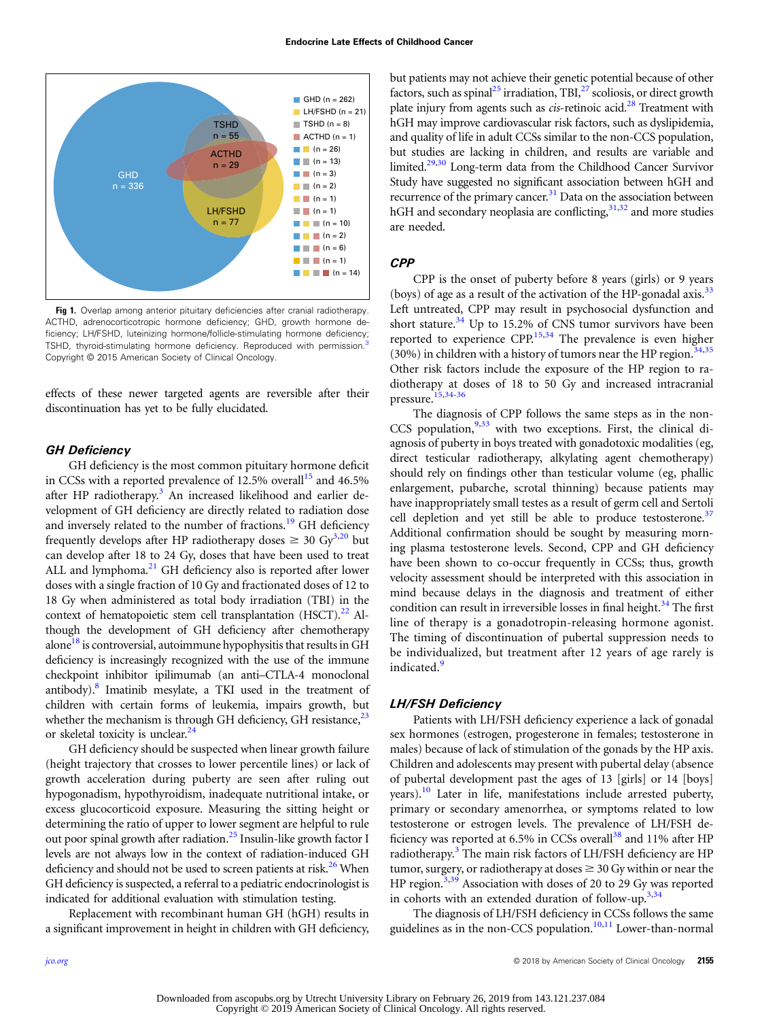<span id="page-2-0"></span>

Fig 1. Overlap among anterior pituitary deficiencies after cranial radiotherapy. ACTHD, adrenocorticotropic hormone deficiency; GHD, growth hormone deficiency; LH/FSHD, luteinizing hormone/follicle-stimulating hormone deficiency; TSHD, thyroid-stimulating hormone deficiency. Reproduced with permission.<sup>[3](#page-5-0)</sup> Copyright © 2015 American Society of Clinical Oncology.

effects of these newer targeted agents are reversible after their discontinuation has yet to be fully elucidated.

#### GH Deficiency

GH deficiency is the most common pituitary hormone deficit in CCSs with a reported prevalence of  $12.5\%$  overall<sup>15</sup> and 46.5% after HP radiotherapy.<sup>[3](#page-5-0)</sup> An increased likelihood and earlier development of GH deficiency are directly related to radiation dose and inversely related to the number of fractions.<sup>[19](#page-5-0)</sup> GH deficiency frequently develops after HP radiotherapy doses  $\geq 30$  $\geq 30$  $\geq 30$  Gy<sup>3,[20](#page-5-0)</sup> but can develop after 18 to 24 Gy, doses that have been used to treat ALL and lymphoma.<sup>[21](#page-5-0)</sup> GH deficiency also is reported after lower doses with a single fraction of 10 Gy and fractionated doses of 12 to 18 Gy when administered as total body irradiation (TBI) in the context of hematopoietic stem cell transplantation  $(HSCT)$ .<sup>[22](#page-5-0)</sup> Although the development of GH deficiency after chemotherapy alone<sup>[18](#page-5-0)</sup> is controversial, autoimmune hypophysitis that results in GH deficiency is increasingly recognized with the use of the immune checkpoint inhibitor ipilimumab (an anti–CTLA-4 monoclonal antibody).<sup>8</sup> Imatinib mesylate, a TKI used in the treatment of children with certain forms of leukemia, impairs growth, but whether the mechanism is through GH deficiency, GH resistance, $^{23}$  $^{23}$  $^{23}$ or skeletal toxicity is unclear.<sup>[24](#page-5-0)</sup>

GH deficiency should be suspected when linear growth failure (height trajectory that crosses to lower percentile lines) or lack of growth acceleration during puberty are seen after ruling out hypogonadism, hypothyroidism, inadequate nutritional intake, or excess glucocorticoid exposure. Measuring the sitting height or determining the ratio of upper to lower segment are helpful to rule out poor spinal growth after radiation.<sup>[25](#page-5-0)</sup> Insulin-like growth factor I levels are not always low in the context of radiation-induced GH deficiency and should not be used to screen patients at risk.<sup>26</sup> When GH deficiency is suspected, a referral to a pediatric endocrinologist is indicated for additional evaluation with stimulation testing.

Replacement with recombinant human GH (hGH) results in a significant improvement in height in children with GH deficiency,

but patients may not achieve their genetic potential because of other factors, such as spinal<sup>25</sup> irradiation, TBI, $^{27}$  scoliosis, or direct growth plate injury from agents such as  $cis$ -retinoic acid.<sup>28</sup> Treatment with hGH may improve cardiovascular risk factors, such as dyslipidemia, and quality of life in adult CCSs similar to the non-CCS population, but studies are lacking in children, and results are variable and limited.<sup>[29](#page-5-0),[30](#page-5-0)</sup> Long-term data from the Childhood Cancer Survivor Study have suggested no significant association between hGH and recurrence of the primary cancer.<sup>31</sup> Data on the association between hGH and secondary neoplasia are conflicting,<sup>31,32</sup> and more studies are needed.

#### CPP

CPP is the onset of puberty before 8 years (girls) or 9 years (boys) of age as a result of the activation of the HP-gonadal axis. $33$ Left untreated, CPP may result in psychosocial dysfunction and short stature. $34$  Up to 15.2% of CNS tumor survivors have been reported to experience CPP.<sup>[15,34](#page-5-0)</sup> The prevalence is even higher (30%) in children with a history of tumors near the HP region.<sup>[34,35](#page-5-0)</sup> Other risk factors include the exposure of the HP region to radiotherapy at doses of 18 to 50 Gy and increased intracranial pressure.[15,34](#page-5-0)-[36](#page-6-0)

The diagnosis of CPP follows the same steps as in the non-CCS population, $9,33$  with two exceptions. First, the clinical diagnosis of puberty in boys treated with gonadotoxic modalities (eg, direct testicular radiotherapy, alkylating agent chemotherapy) should rely on findings other than testicular volume (eg, phallic enlargement, pubarche, scrotal thinning) because patients may have inappropriately small testes as a result of germ cell and Sertoli cell depletion and yet still be able to produce testosterone.<sup>37</sup> Additional confirmation should be sought by measuring morning plasma testosterone levels. Second, CPP and GH deficiency have been shown to co-occur frequently in CCSs; thus, growth velocity assessment should be interpreted with this association in mind because delays in the diagnosis and treatment of either condition can result in irreversible losses in final height. $34$  The first line of therapy is a gonadotropin-releasing hormone agonist. The timing of discontinuation of pubertal suppression needs to be individualized, but treatment after 12 years of age rarely is indicated.<sup>[9](#page-5-0)</sup>

#### LH/FSH Deficiency

Patients with LH/FSH deficiency experience a lack of gonadal sex hormones (estrogen, progesterone in females; testosterone in males) because of lack of stimulation of the gonads by the HP axis. Children and adolescents may present with pubertal delay (absence of pubertal development past the ages of 13 [girls] or 14 [boys] years).[10](#page-5-0) Later in life, manifestations include arrested puberty, primary or secondary amenorrhea, or symptoms related to low testosterone or estrogen levels. The prevalence of LH/FSH de-ficiency was reported at 6.5% in CCSs overall<sup>[38](#page-6-0)</sup> and 11% after HP radiotherapy.<sup>[3](#page-5-0)</sup> The main risk factors of LH/FSH deficiency are HP tumor, surgery, or radiotherapy at doses  $\geq 30$  Gy within or near the HP region.<sup>[3,](#page-5-0)[39](#page-6-0)</sup> Association with doses of 20 to 29 Gy was reported in cohorts with an extended duration of follow-up.<sup>[3](#page-5-0),[34](#page-5-0)</sup>

The diagnosis of LH/FSH deficiency in CCSs follows the same guidelines as in the non-CCS population.<sup>[10](#page-5-0),[11](#page-5-0)</sup> Lower-than-normal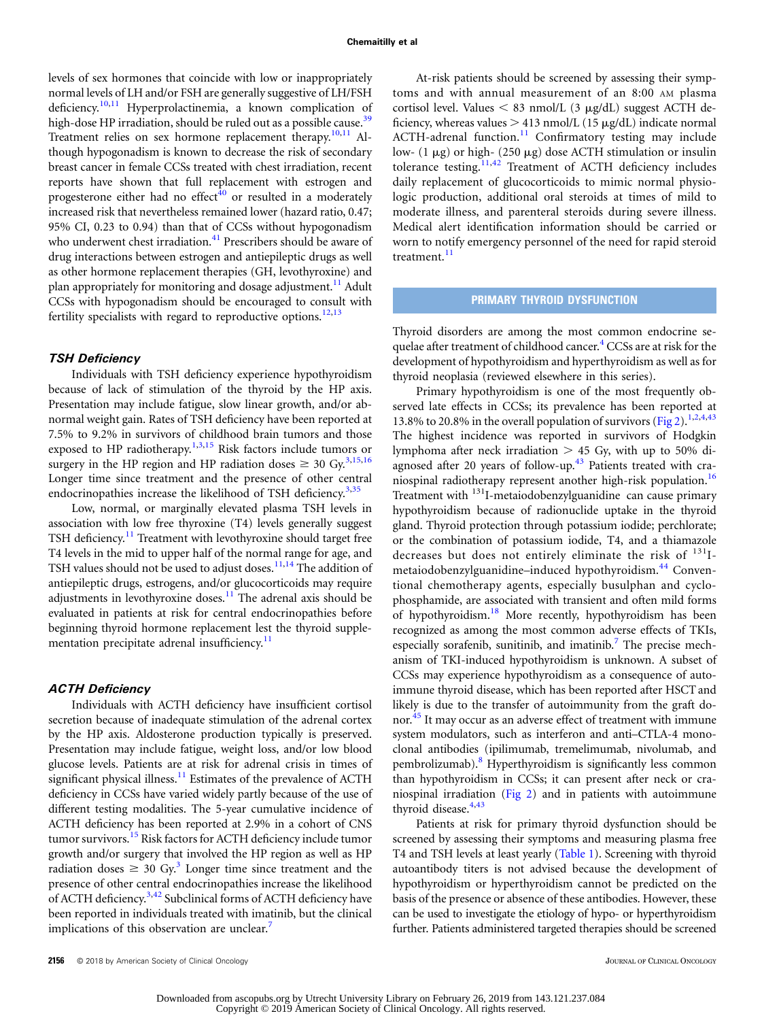levels of sex hormones that coincide with low or inappropriately normal levels of LH and/or FSH are generally suggestive of LH/FSH deficiency.<sup>[10](#page-5-0),[11](#page-5-0)</sup> Hyperprolactinemia, a known complication of high-dose HP irradiation, should be ruled out as a possible cause.<sup>[39](#page-6-0)</sup> Treatment relies on sex hormone replacement therapy.<sup>[10,11](#page-5-0)</sup> Although hypogonadism is known to decrease the risk of secondary breast cancer in female CCSs treated with chest irradiation, recent reports have shown that full replacement with estrogen and progesterone either had no effect $40$  or resulted in a moderately increased risk that nevertheless remained lower (hazard ratio, 0.47; 95% CI, 0.23 to 0.94) than that of CCSs without hypogonadism who underwent chest irradiation.<sup>[41](#page-6-0)</sup> Prescribers should be aware of drug interactions between estrogen and antiepileptic drugs as well as other hormone replacement therapies (GH, levothyroxine) and plan appropriately for monitoring and dosage adjustment.<sup>[11](#page-5-0)</sup> Adult CCSs with hypogonadism should be encouraged to consult with fertility specialists with regard to reproductive options.<sup>[12](#page-5-0),[13](#page-5-0)</sup>

#### TSH Deficiency

Individuals with TSH deficiency experience hypothyroidism because of lack of stimulation of the thyroid by the HP axis. Presentation may include fatigue, slow linear growth, and/or abnormal weight gain. Rates of TSH deficiency have been reported at 7.5% to 9.2% in survivors of childhood brain tumors and those exposed to HP radiotherapy. $1,3,15$  Risk factors include tumors or surgery in the HP region and HP radiation doses  $\geq 30$  Gy.<sup>[3,15](#page-5-0),[16](#page-5-0)</sup> Longer time since treatment and the presence of other central endocrinopathies increase the likelihood of TSH deficiency. $3,35$ 

Low, normal, or marginally elevated plasma TSH levels in association with low free thyroxine (T4) levels generally suggest TSH deficiency.<sup>[11](#page-5-0)</sup> Treatment with levothyroxine should target free T4 levels in the mid to upper half of the normal range for age, and TSH values should not be used to adjust doses.<sup>[11](#page-5-0),[14](#page-5-0)</sup> The addition of antiepileptic drugs, estrogens, and/or glucocorticoids may require adjustments in levothyroxine doses.<sup>[11](#page-5-0)</sup> The adrenal axis should be evaluated in patients at risk for central endocrinopathies before beginning thyroid hormone replacement lest the thyroid supple-mentation precipitate adrenal insufficiency.<sup>[11](#page-5-0)</sup>

#### ACTH Deficiency

Individuals with ACTH deficiency have insufficient cortisol secretion because of inadequate stimulation of the adrenal cortex by the HP axis. Aldosterone production typically is preserved. Presentation may include fatigue, weight loss, and/or low blood glucose levels. Patients are at risk for adrenal crisis in times of significant physical illness. $11$  Estimates of the prevalence of ACTH deficiency in CCSs have varied widely partly because of the use of different testing modalities. The 5-year cumulative incidence of ACTH deficiency has been reported at 2.9% in a cohort of CNS tumor survivors.<sup>[15](#page-5-0)</sup> Risk factors for ACTH deficiency include tumor growth and/or surgery that involved the HP region as well as HP radiation doses  $\geq 30$  Gy.<sup>3</sup> Longer time since treatment and the presence of other central endocrinopathies increase the likelihood of ACTH deficiency.<sup>[3,](#page-5-0)[42](#page-6-0)</sup> Subclinical forms of ACTH deficiency have been reported in individuals treated with imatinib, but the clinical implications of this observation are unclear.<sup>[7](#page-5-0)</sup>

At-risk patients should be screened by assessing their symptoms and with annual measurement of an 8:00 AM plasma cortisol level. Values  $<$  83 nmol/L (3  $\mu$ g/dL) suggest ACTH deficiency, whereas values  $> 413$  nmol/L (15  $\mu$ g/dL) indicate normal ACTH-adrenal function.<sup>[11](#page-5-0)</sup> Confirmatory testing may include low- (1  $\mu$ g) or high- (250  $\mu$ g) dose ACTH stimulation or insulin tolerance testing.<sup>[11](#page-5-0),[42](#page-6-0)</sup> Treatment of ACTH deficiency includes daily replacement of glucocorticoids to mimic normal physiologic production, additional oral steroids at times of mild to moderate illness, and parenteral steroids during severe illness. Medical alert identification information should be carried or worn to notify emergency personnel of the need for rapid steroid treatment.<sup>[11](#page-5-0)</sup>

#### PRIMARY THYROID DYSFUNCTION

Thyroid disorders are among the most common endocrine se-quelae after treatment of childhood cancer.<sup>[4](#page-5-0)</sup> CCSs are at risk for the development of hypothyroidism and hyperthyroidism as well as for thyroid neoplasia (reviewed elsewhere in this series).

Primary hypothyroidism is one of the most frequently observed late effects in CCSs; its prevalence has been reported at 13.8% to 20.8% in the overall population of survivors [\(Fig 2](#page-4-0)).<sup>[1,2,4,](#page-5-0)[43](#page-6-0)</sup> The highest incidence was reported in survivors of Hodgkin lymphoma after neck irradiation  $> 45$  Gy, with up to 50% di-agnosed after 20 years of follow-up.<sup>[43](#page-6-0)</sup> Patients treated with cra-niospinal radiotherapy represent another high-risk population.<sup>[16](#page-5-0)</sup> Treatment with <sup>131</sup>I-metaiodobenzylguanidine can cause primary hypothyroidism because of radionuclide uptake in the thyroid gland. Thyroid protection through potassium iodide; perchlorate; or the combination of potassium iodide, T4, and a thiamazole decreases but does not entirely eliminate the risk of  $^{131}$ I-metaiodobenzylguanidine–induced hypothyroidism.<sup>[44](#page-6-0)</sup> Conventional chemotherapy agents, especially busulphan and cyclophosphamide, are associated with transient and often mild forms of hypothyroidism.<sup>[18](#page-5-0)</sup> More recently, hypothyroidism has been recognized as among the most common adverse effects of TKIs, especially sorafenib, sunitinib, and imatinib.<sup>[7](#page-5-0)</sup> The precise mechanism of TKI-induced hypothyroidism is unknown. A subset of CCSs may experience hypothyroidism as a consequence of autoimmune thyroid disease, which has been reported after HSCT and likely is due to the transfer of autoimmunity from the graft donor.[45](#page-6-0) It may occur as an adverse effect of treatment with immune system modulators, such as interferon and anti–CTLA-4 monoclonal antibodies (ipilimumab, tremelimumab, nivolumab, and pembrolizumab).<sup>[8](#page-5-0)</sup> Hyperthyroidism is significantly less common than hypothyroidism in CCSs; it can present after neck or craniospinal irradiation [\(Fig 2\)](#page-4-0) and in patients with autoimmune thyroid disease.<sup>[4,](#page-5-0)[43](#page-6-0)</sup>

Patients at risk for primary thyroid dysfunction should be screened by assessing their symptoms and measuring plasma free T4 and TSH levels at least yearly [\(Table 1](#page-1-0)). Screening with thyroid autoantibody titers is not advised because the development of hypothyroidism or hyperthyroidism cannot be predicted on the basis of the presence or absence of these antibodies. However, these can be used to investigate the etiology of hypo- or hyperthyroidism further. Patients administered targeted therapies should be screened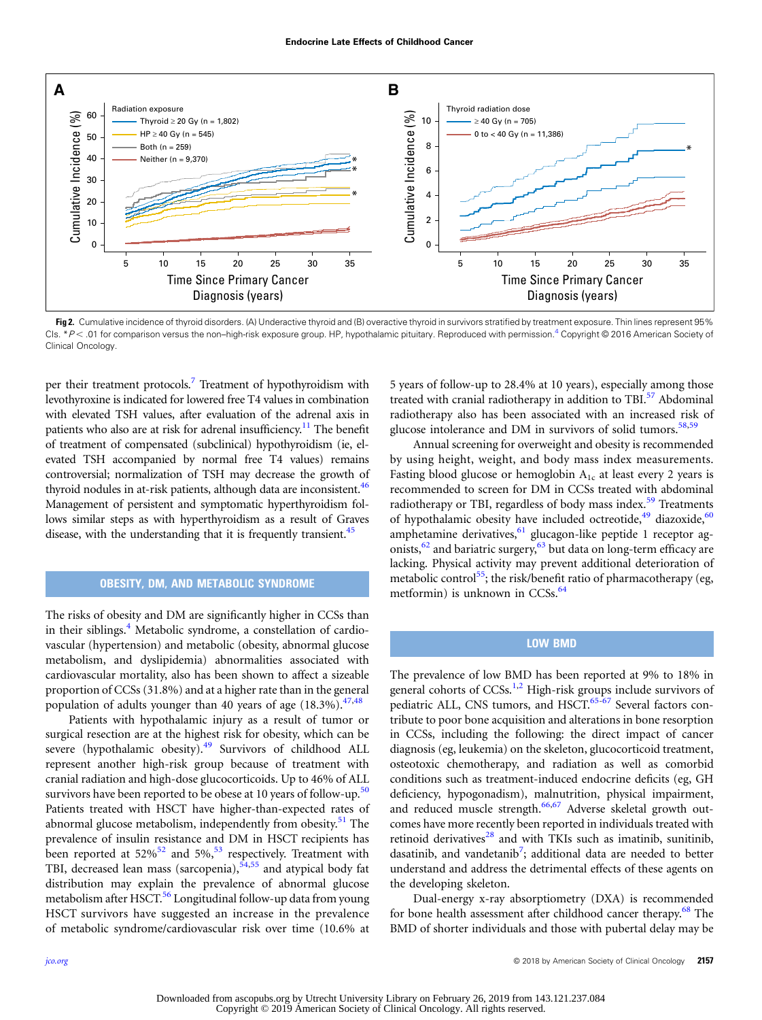<span id="page-4-0"></span>

Fig 2. Cumulative incidence of thyroid disorders. (A) Underactive thyroid and (B) overactive thyroid in survivors stratified by treatment exposure. Thin lines represent 95% CIs. \*P<.01 for comparison versus the non-high-risk exposure group. HP, hypothalamic pituitary. Reproduced with permission.<sup>[4](#page-5-0)</sup> Copyright © 2016 American Society of Clinical Oncology.

per their treatment protocols.<sup>[7](#page-5-0)</sup> Treatment of hypothyroidism with levothyroxine is indicated for lowered free T4 values in combination with elevated TSH values, after evaluation of the adrenal axis in patients who also are at risk for adrenal insufficiency.<sup>[11](#page-5-0)</sup> The benefit of treatment of compensated (subclinical) hypothyroidism (ie, elevated TSH accompanied by normal free T4 values) remains controversial; normalization of TSH may decrease the growth of thyroid nodules in at-risk patients, although data are inconsistent.  $46$ Management of persistent and symptomatic hyperthyroidism follows similar steps as with hyperthyroidism as a result of Graves disease, with the understanding that it is frequently transient.<sup>45</sup>

### OBESITY, DM, AND METABOLIC SYNDROME

The risks of obesity and DM are significantly higher in CCSs than in their siblings.<sup>[4](#page-5-0)</sup> Metabolic syndrome, a constellation of cardiovascular (hypertension) and metabolic (obesity, abnormal glucose metabolism, and dyslipidemia) abnormalities associated with cardiovascular mortality, also has been shown to affect a sizeable proportion of CCSs (31.8%) and at a higher rate than in the general population of adults younger than 40 years of age  $(18.3\%)$ .<sup>[47](#page-6-0),[48](#page-6-0)</sup>

Patients with hypothalamic injury as a result of tumor or surgical resection are at the highest risk for obesity, which can be severe (hypothalamic obesity).<sup>[49](#page-6-0)</sup> Survivors of childhood ALL represent another high-risk group because of treatment with cranial radiation and high-dose glucocorticoids. Up to 46% of ALL survivors have been reported to be obese at 10 years of follow-up.<sup>[50](#page-6-0)</sup> Patients treated with HSCT have higher-than-expected rates of abnormal glucose metabolism, independently from obesity.<sup>[51](#page-6-0)</sup> The prevalence of insulin resistance and DM in HSCT recipients has been reported at [52](#page-6-0)%<sup>52</sup> and 5%,<sup>53</sup> respectively. Treatment with TBI, decreased lean mass (sarcopenia), $54,55$  and atypical body fat distribution may explain the prevalence of abnormal glucose metabolism after HSCT.<sup>[56](#page-6-0)</sup> Longitudinal follow-up data from young HSCT survivors have suggested an increase in the prevalence of metabolic syndrome/cardiovascular risk over time (10.6% at

5 years of follow-up to 28.4% at 10 years), especially among those treated with cranial radiotherapy in addition to TBI.<sup>57</sup> Abdominal radiotherapy also has been associated with an increased risk of glucose intolerance and DM in survivors of solid tumors.<sup>[58,59](#page-6-0)</sup>

Annual screening for overweight and obesity is recommended by using height, weight, and body mass index measurements. Fasting blood glucose or hemoglobin  $A_{1c}$  at least every 2 years is recommended to screen for DM in CCSs treated with abdominal radiotherapy or TBI, regardless of body mass index.<sup>[59](#page-6-0)</sup> Treatments of hypothalamic obesity have included octreotide, $49$  diazoxide, $60$ amphetamine derivatives,  $61$  glucagon-like peptide 1 receptor agonists, $62$  and bariatric surgery, $63$  but data on long-term efficacy are lacking. Physical activity may prevent additional deterioration of metabolic control<sup>[55](#page-6-0)</sup>; the risk/benefit ratio of pharmacotherapy (eg, metformin) is unknown in  $CCSs$ .<sup>[64](#page-6-0)</sup>

### LOW BMD

The prevalence of low BMD has been reported at 9% to 18% in general cohorts of  $CCSs$ .<sup>1,2</sup> High-risk groups include survivors of pediatric ALL, CNS tumors, and HSCT.<sup>[65](#page-6-0)-[67](#page-6-0)</sup> Several factors contribute to poor bone acquisition and alterations in bone resorption in CCSs, including the following: the direct impact of cancer diagnosis (eg, leukemia) on the skeleton, glucocorticoid treatment, osteotoxic chemotherapy, and radiation as well as comorbid conditions such as treatment-induced endocrine deficits (eg, GH deficiency, hypogonadism), malnutrition, physical impairment, and reduced muscle strength.<sup>[66,67](#page-6-0)</sup> Adverse skeletal growth outcomes have more recently been reported in individuals treated with retinoid derivatives $^{28}$  $^{28}$  $^{28}$  and with TKIs such as imatinib, sunitinib, dasatinib, and vandetanib<sup>[7](#page-5-0)</sup>; additional data are needed to better understand and address the detrimental effects of these agents on the developing skeleton.

Dual-energy x-ray absorptiometry (DXA) is recommended for bone health assessment after childhood cancer therapy.<sup>[68](#page-6-0)</sup> The BMD of shorter individuals and those with pubertal delay may be

Copyright © 2019 American Society of Clinical Oncology. All rights reserved.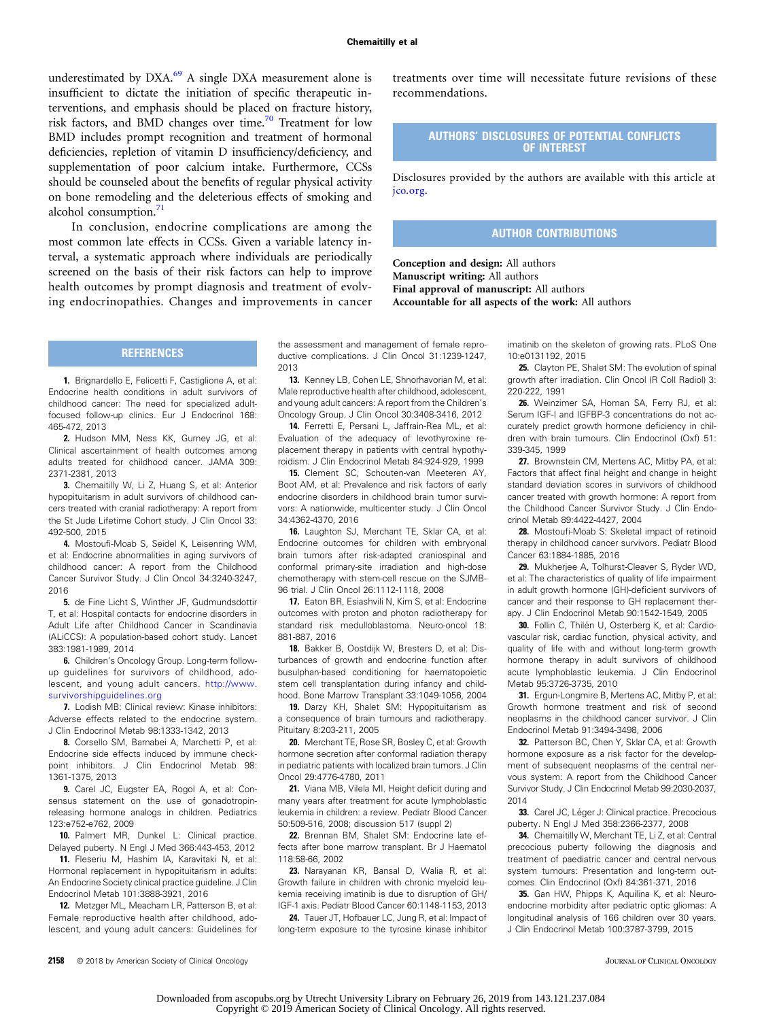<span id="page-5-0"></span>underestimated by DXA.<sup>[69](#page-6-0)</sup> A single DXA measurement alone is insufficient to dictate the initiation of specific therapeutic interventions, and emphasis should be placed on fracture history, risk factors, and BMD changes over time.<sup>70</sup> Treatment for low BMD includes prompt recognition and treatment of hormonal deficiencies, repletion of vitamin D insufficiency/deficiency, and supplementation of poor calcium intake. Furthermore, CCSs should be counseled about the benefits of regular physical activity on bone remodeling and the deleterious effects of smoking and alcohol consumption. $71$ 

In conclusion, endocrine complications are among the most common late effects in CCSs. Given a variable latency interval, a systematic approach where individuals are periodically screened on the basis of their risk factors can help to improve health outcomes by prompt diagnosis and treatment of evolving endocrinopathies. Changes and improvements in cancer treatments over time will necessitate future revisions of these recommendations.

### AUTHORS' DISCLOSURES OF POTENTIAL CONFLICTS OF INTEREST

Disclosures provided by the authors are available with this article at [jco.org](http://jco.org).

## AUTHOR CONTRIBUTIONS

Conception and design: All authors Manuscript writing: All authors Final approval of manuscript: All authors Accountable for all aspects of the work: All authors

### REFERENCES

1. Brignardello E, Felicetti F, Castiglione A, et al: Endocrine health conditions in adult survivors of childhood cancer: The need for specialized adultfocused follow-up clinics. Eur J Endocrinol 168: 465-472, 2013

2. Hudson MM, Ness KK, Gurney JG, et al: Clinical ascertainment of health outcomes among adults treated for childhood cancer. JAMA 309: 2371-2381, 2013

3. Chemaitilly W, Li Z, Huang S, et al: Anterior hypopituitarism in adult survivors of childhood cancers treated with cranial radiotherapy: A report from the St Jude Lifetime Cohort study. J Clin Oncol 33: 492-500, 2015

4. Mostoufi-Moab S, Seidel K, Leisenring WM, et al: Endocrine abnormalities in aging survivors of childhood cancer: A report from the Childhood Cancer Survivor Study. J Clin Oncol 34:3240-3247, 2016

5. de Fine Licht S, Winther JF, Gudmundsdottir T, et al: Hospital contacts for endocrine disorders in Adult Life after Childhood Cancer in Scandinavia (ALiCCS): A population-based cohort study. Lancet 383:1981-1989, 2014

6. Children's Oncology Group. Long-term followup guidelines for survivors of childhood, adolescent, and young adult cancers. [http://www.](http://www.survivorshipguidelines.org) [survivorshipguidelines.org](http://www.survivorshipguidelines.org)

7. Lodish MB: Clinical review: Kinase inhibitors: Adverse effects related to the endocrine system. J Clin Endocrinol Metab 98:1333-1342, 2013

8. Corsello SM, Barnabei A, Marchetti P, et al: Endocrine side effects induced by immune checkpoint inhibitors. J Clin Endocrinol Metab 98: 1361-1375, 2013

9. Carel JC, Eugster EA, Rogol A, et al: Consensus statement on the use of gonadotropinreleasing hormone analogs in children. Pediatrics 123:e752-e762, 2009

10. Palmert MR, Dunkel L: Clinical practice. Delayed puberty. N Engl J Med 366:443-453, 2012

11. Fleseriu M, Hashim IA, Karavitaki N, et al: Hormonal replacement in hypopituitarism in adults: An Endocrine Society clinical practice guideline. J Clin Endocrinol Metab 101:3888-3921, 2016

12. Metzger ML, Meacham LR, Patterson B, et al: Female reproductive health after childhood, adolescent, and young adult cancers: Guidelines for the assessment and management of female reproductive complications. J Clin Oncol 31:1239-1247, 2013

13. Kenney LB, Cohen LE, Shnorhavorian M, et al: Male reproductive health after childhood, adolescent, and young adult cancers: A report from the Children's Oncology Group. J Clin Oncol 30:3408-3416, 2012

14. Ferretti E, Persani L, Jaffrain-Rea ML, et al: Evaluation of the adequacy of levothyroxine replacement therapy in patients with central hypothyroidism. J Clin Endocrinol Metab 84:924-929, 1999

15. Clement SC, Schouten-van Meeteren AY, Boot AM, et al: Prevalence and risk factors of early endocrine disorders in childhood brain tumor survivors: A nationwide, multicenter study. J Clin Oncol 34:4362-4370, 2016

16. Laughton SJ, Merchant TE, Sklar CA, et al: Endocrine outcomes for children with embryonal brain tumors after risk-adapted craniospinal and conformal primary-site irradiation and high-dose chemotherapy with stem-cell rescue on the SJMB-96 trial. J Clin Oncol 26:1112-1118, 2008

17. Eaton BR, Esiashvili N, Kim S, et al: Endocrine outcomes with proton and photon radiotherapy for standard risk medulloblastoma. Neuro-oncol 18: 881-887, 2016

18. Bakker B, Oostdijk W, Bresters D, et al: Disturbances of growth and endocrine function after busulphan-based conditioning for haematopoietic stem cell transplantation during infancy and childhood. Bone Marrow Transplant 33:1049-1056, 2004

19. Darzy KH, Shalet SM: Hypopituitarism as a consequence of brain tumours and radiotherapy. Pituitary 8:203-211, 2005

20. Merchant TE, Rose SR, Bosley C, et al: Growth hormone secretion after conformal radiation therapy in pediatric patients with localized brain tumors. J Clin Oncol 29:4776-4780, 2011

21. Viana MB, Vilela MI. Height deficit during and many years after treatment for acute lymphoblastic leukemia in children: a review. Pediatr Blood Cancer 50:509-516, 2008; discussion 517 (suppl 2)

22. Brennan BM, Shalet SM: Endocrine late effects after bone marrow transplant. Br J Haematol 118:58-66, 2002

23. Narayanan KR, Bansal D, Walia R, et al: Growth failure in children with chronic myeloid leukemia receiving imatinib is due to disruption of GH/ IGF-1 axis. Pediatr Blood Cancer 60:1148-1153, 2013

24. Tauer JT, Hofbauer LC, Jung R, et al: Impact of long-term exposure to the tyrosine kinase inhibitor imatinib on the skeleton of growing rats. PLoS One 10:e0131192, 2015

25. Clayton PE, Shalet SM: The evolution of spinal growth after irradiation. Clin Oncol (R Coll Radiol) 3: 220-222, 1991

26. Weinzimer SA, Homan SA, Ferry RJ, et al: Serum IGF-I and IGFBP-3 concentrations do not accurately predict growth hormone deficiency in children with brain tumours. Clin Endocrinol (Oxf) 51: 339-345, 1999

27. Brownstein CM, Mertens AC, Mitby PA, et al: Factors that affect final height and change in height standard deviation scores in survivors of childhood cancer treated with growth hormone: A report from the Childhood Cancer Survivor Study. J Clin Endocrinol Metab 89:4422-4427, 2004

28. Mostoufi-Moab S: Skeletal impact of retinoid therapy in childhood cancer survivors. Pediatr Blood Cancer 63:1884-1885, 2016

29. Mukherjee A, Tolhurst-Cleaver S, Ryder WD, et al: The characteristics of quality of life impairment in adult growth hormone (GH)-deficient survivors of cancer and their response to GH replacement therapy. J Clin Endocrinol Metab 90:1542-1549, 2005

30. Follin C, Thilén U, Osterberg K, et al: Cardiovascular risk, cardiac function, physical activity, and quality of life with and without long-term growth hormone therapy in adult survivors of childhood acute lymphoblastic leukemia. J Clin Endocrinol Metab 95:3726-3735, 2010

31. Ergun-Longmire B, Mertens AC, Mitby P, et al: Growth hormone treatment and risk of second neoplasms in the childhood cancer survivor. J Clin Endocrinol Metab 91:3494-3498, 2006

32. Patterson BC, Chen Y, Sklar CA, et al: Growth hormone exposure as a risk factor for the development of subsequent neoplasms of the central nervous system: A report from the Childhood Cancer Survivor Study. J Clin Endocrinol Metab 99:2030-2037, 2014

33. Carel JC, Léger J: Clinical practice. Precocious puberty. N Engl J Med 358:2366-2377, 2008

34. Chemaitilly W, Merchant TE, Li Z, et al: Central precocious puberty following the diagnosis and treatment of paediatric cancer and central nervous system tumours: Presentation and long-term outcomes. Clin Endocrinol (Oxf) 84:361-371, 2016

35. Gan HW, Phipps K, Aquilina K, et al: Neuroendocrine morbidity after pediatric optic gliomas: A longitudinal analysis of 166 children over 30 years. J Clin Endocrinol Metab 100:3787-3799, 2015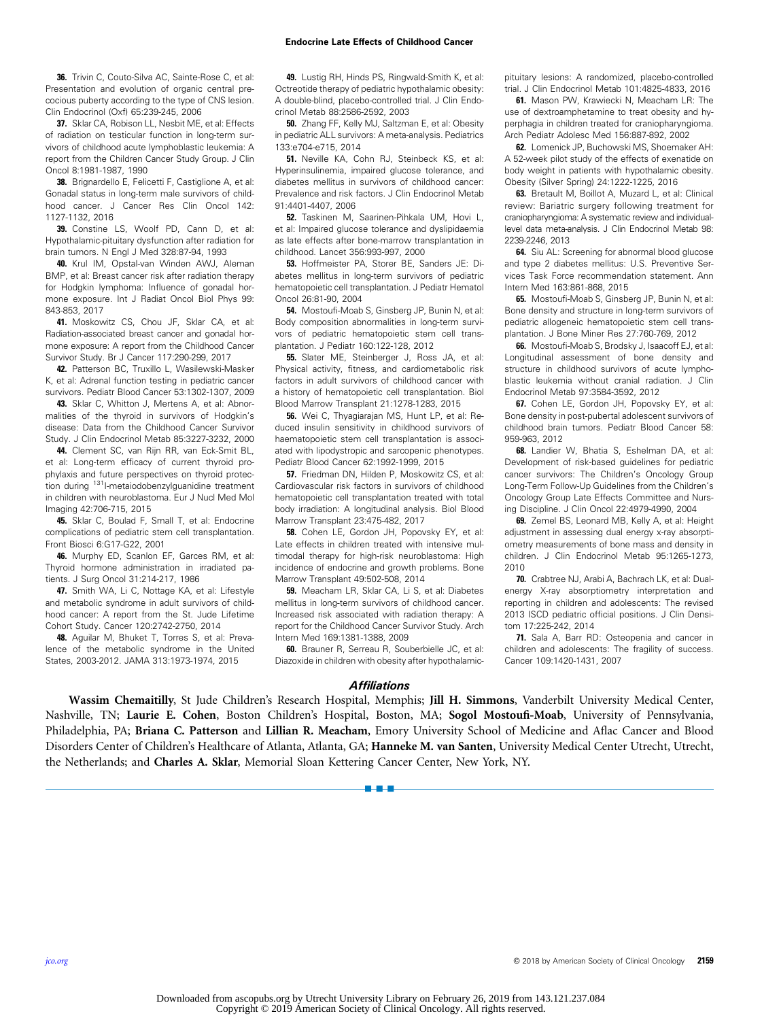<span id="page-6-0"></span>36. Trivin C, Couto-Silva AC, Sainte-Rose C, et al: Presentation and evolution of organic central precocious puberty according to the type of CNS lesion. Clin Endocrinol (Oxf) 65:239-245, 2006

37. Sklar CA, Robison LL, Nesbit ME, et al: Effects of radiation on testicular function in long-term survivors of childhood acute lymphoblastic leukemia: A report from the Children Cancer Study Group. J Clin Oncol 8:1981-1987, 1990

38. Brignardello E, Felicetti F, Castiglione A, et al: Gonadal status in long-term male survivors of childhood cancer. J Cancer Res Clin Oncol 142: 1127-1132, 2016

**39.** Constine LS, Woolf PD, Cann D, et al:<br>Hypothalamic-pituitary dysfunction after radiation for brain tumors. N Engl J Med 328:87-94, 1993

40. Krul IM, Opstal-van Winden AWJ, Aleman BMP, et al: Breast cancer risk after radiation therapy for Hodgkin lymphoma: Influence of gonadal hormone exposure. Int J Radiat Oncol Biol Phys 99: 843-853, 2017

41. Moskowitz CS, Chou JF, Sklar CA, et al: Radiation-associated breast cancer and gonadal hormone exposure: A report from the Childhood Cancer Survivor Study. Br J Cancer 117:290-299, 2017

42. Patterson BC, Truxillo L, Wasilewski-Masker K, et al: Adrenal function testing in pediatric cancer survivors. Pediatr Blood Cancer 53:1302-1307, 2009

43. Sklar C, Whitton J, Mertens A, et al: Abnormalities of the thyroid in survivors of Hodgkin's disease: Data from the Childhood Cancer Survivor Study. J Clin Endocrinol Metab 85:3227-3232, 2000

44. Clement SC, van Rijn RR, van Eck-Smit BL, et al: Long-term efficacy of current thyroid prophylaxis and future perspectives on thyroid protection during <sup>131</sup>I-metaiodobenzylguanidine treatment in children with neuroblastoma. Eur J Nucl Med Mol Imaging 42:706-715, 2015

45. Sklar C, Boulad F, Small T, et al: Endocrine complications of pediatric stem cell transplantation. Front Biosci 6:G17-G22, 2001

46. Murphy ED, Scanlon EF, Garces RM, et al: Thyroid hormone administration in irradiated patients. J Surg Oncol 31:214-217, 1986

47. Smith WA, Li C, Nottage KA, et al: Lifestyle and metabolic syndrome in adult survivors of childhood cancer: A report from the St. Jude Lifetime Cohort Study. Cancer 120:2742-2750, 2014

48. Aguilar M, Bhuket T, Torres S, et al: Prevalence of the metabolic syndrome in the United States, 2003-2012. JAMA 313:1973-1974, 2015

49. Lustig RH, Hinds PS, Ringwald-Smith K, et al: Octreotide therapy of pediatric hypothalamic obesity: A double-blind, placebo-controlled trial. J Clin Endocrinol Metab 88:2586-2592, 2003

50. Zhang FF, Kelly MJ, Saltzman E, et al: Obesity in pediatric ALL survivors: A meta-analysis. Pediatrics 133:e704-e715, 2014

51. Neville KA, Cohn RJ, Steinbeck KS, et al: Hyperinsulinemia, impaired glucose tolerance, and diabetes mellitus in survivors of childhood cancer: Prevalence and risk factors. J Clin Endocrinol Metab 91:4401-4407, 2006

52. Taskinen M, Saarinen-Pihkala UM, Hovi L, et al: Impaired glucose tolerance and dyslipidaemia as late effects after bone-marrow transplantation in childhood. Lancet 356:993-997, 2000

53. Hoffmeister PA, Storer BE, Sanders JE: Diabetes mellitus in long-term survivors of pediatric hematopoietic cell transplantation. J Pediatr Hematol Oncol 26:81-90, 2004

54. Mostoufi-Moab S, Ginsberg JP, Bunin N, et al: Body composition abnormalities in long-term survivors of pediatric hematopoietic stem cell transplantation. J Pediatr 160:122-128, 2012

55. Slater ME, Steinberger J, Ross JA, et al: Physical activity, fitness, and cardiometabolic risk factors in adult survivors of childhood cancer with a history of hematopoietic cell transplantation. Biol Blood Marrow Transplant 21:1278-1283, 2015

56. Wei C, Thyagiarajan MS, Hunt LP, et al: Reduced insulin sensitivity in childhood survivors of haematopoietic stem cell transplantation is associated with lipodystropic and sarcopenic phenotypes. Pediatr Blood Cancer 62:1992-1999, 2015

57. Friedman DN, Hilden P, Moskowitz CS, et al: Cardiovascular risk factors in survivors of childhood hematopoietic cell transplantation treated with total body irradiation: A longitudinal analysis. Biol Blood Marrow Transplant 23:475-482, 2017

58. Cohen LE, Gordon JH, Popovsky EY, et al: Late effects in children treated with intensive multimodal therapy for high-risk neuroblastoma: High incidence of endocrine and growth problems. Bone Marrow Transplant 49:502-508, 2014

59. Meacham LR, Sklar CA, Li S, et al: Diabetes mellitus in long-term survivors of childhood cancer. Increased risk associated with radiation therapy: A report for the Childhood Cancer Survivor Study. Arch Intern Med 169:1381-1388, 2009

60. Brauner R, Serreau R, Souberbielle JC, et al: Diazoxide in children with obesity after hypothalamicpituitary lesions: A randomized, placebo-controlled trial. J Clin Endocrinol Metab 101:4825-4833, 2016

61. Mason PW, Krawiecki N, Meacham LR: The use of dextroamphetamine to treat obesity and hyperphagia in children treated for craniopharyngioma. Arch Pediatr Adolesc Med 156:887-892, 2002

62. Lomenick JP, Buchowski MS, Shoemaker AH: A 52-week pilot study of the effects of exenatide on body weight in patients with hypothalamic obesity. Obesity (Silver Spring) 24:1222-1225, 2016

63. Bretault M, Boillot A, Muzard L, et al: Clinical review: Bariatric surgery following treatment for craniopharyngioma: A systematic review and individuallevel data meta-analysis. J Clin Endocrinol Metab 98: 2239-2246, 2013

64. Siu AL: Screening for abnormal blood glucose and type 2 diabetes mellitus: U.S. Preventive Services Task Force recommendation statement. Ann Intern Med 163:861-868, 2015

65. Mostoufi-Moab S, Ginsberg JP, Bunin N, et al: Bone density and structure in long-term survivors of pediatric allogeneic hematopoietic stem cell transplantation. J Bone Miner Res 27:760-769, 2012

66. Mostoufi-Moab S, Brodsky J, Isaacoff EJ, et al: Longitudinal assessment of bone density and structure in childhood survivors of acute lymphoblastic leukemia without cranial radiation. J Clin Endocrinol Metab 97:3584-3592, 2012

67. Cohen LE, Gordon JH, Popovsky EY, et al: Bone density in post-pubertal adolescent survivors of childhood brain tumors. Pediatr Blood Cancer 58: 959-963, 2012

68. Landier W, Bhatia S, Eshelman DA, et al: Development of risk-based guidelines for pediatric cancer survivors: The Children's Oncology Group Long-Term Follow-Up Guidelines from the Children's Oncology Group Late Effects Committee and Nursing Discipline. J Clin Oncol 22:4979-4990, 2004

69. Zemel BS, Leonard MB, Kelly A, et al: Height adjustment in assessing dual energy x-ray absorptiometry measurements of bone mass and density in children. J Clin Endocrinol Metab 95:1265-1273, 2010

**70.** Crabtree NJ, Arabi A, Bachrach LK, et al: Dual-<br>energy X-ray absorptiometry interpretation and reporting in children and adolescents: The revised 2013 ISCD pediatric official positions. J Clin Densitom 17:225-242, 2014

71. Sala A, Barr RD: Osteopenia and cancer in children and adolescents: The fragility of success. Cancer 109:1420-1431, 2007

#### **Affiliations**

Wassim Chemaitilly, St Jude Children's Research Hospital, Memphis; Jill H. Simmons, Vanderbilt University Medical Center, Nashville, TN; Laurie E. Cohen, Boston Children's Hospital, Boston, MA; Sogol Mostoufi-Moab, University of Pennsylvania, Philadelphia, PA; Briana C. Patterson and Lillian R. Meacham, Emory University School of Medicine and Aflac Cancer and Blood Disorders Center of Children's Healthcare of Atlanta, Atlanta, GA; Hanneke M. van Santen, University Medical Center Utrecht, Utrecht, the Netherlands; and Charles A. Sklar, Memorial Sloan Kettering Cancer Center, New York, NY.

a - a - a